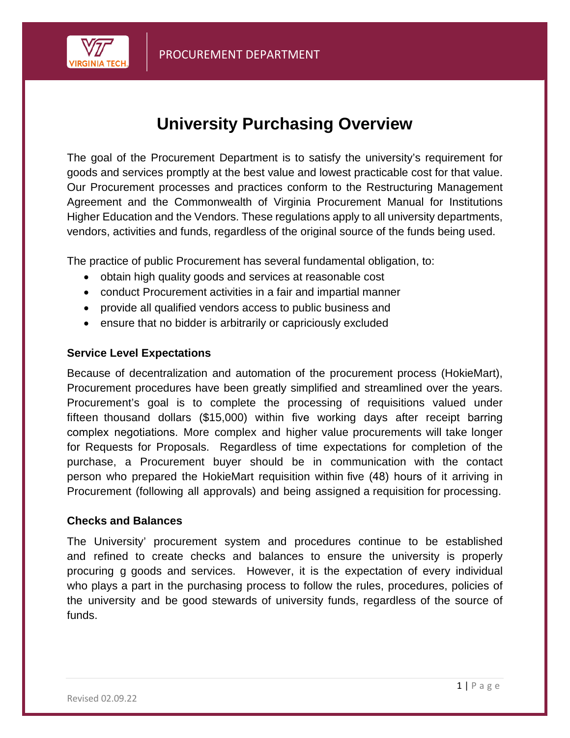

# **University Purchasing Overview**

The goal of the Procurement Department is to satisfy the university's requirement for goods and services promptly at the best value and lowest practicable cost for that value. Our Procurement processes and practices conform to the Restructuring Management Agreement and the Commonwealth of Virginia Procurement Manual for Institutions Higher Education and the Vendors. These regulations apply to all university departments, vendors, activities and funds, regardless of the original source of the funds being used.

The practice of public Procurement has several fundamental obligation, to:

- obtain high quality goods and services at reasonable cost
- conduct Procurement activities in a fair and impartial manner
- provide all qualified vendors access to public business and
- ensure that no bidder is arbitrarily or capriciously excluded

#### **Service Level Expectations**

Because of decentralization and automation of the procurement process (HokieMart), Procurement procedures have been greatly simplified and streamlined over the years. Procurement's goal is to complete the processing of requisitions valued under fifteen thousand dollars (\$15,000) within five working days after receipt barring complex negotiations. More complex and higher value procurements will take longer for Requests for Proposals. Regardless of time expectations for completion of the purchase, a Procurement buyer should be in communication with the contact person who prepared the HokieMart requisition within five (48) hours of it arriving in Procurement (following all approvals) and being assigned a requisition for processing.

#### **Checks and Balances**

The University' procurement system and procedures continue to be established and refined to create checks and balances to ensure the university is properly procuring g goods and services. However, it is the expectation of every individual who plays a part in the purchasing process to follow the rules, procedures, policies of the university and be good stewards of university funds, regardless of the source of funds.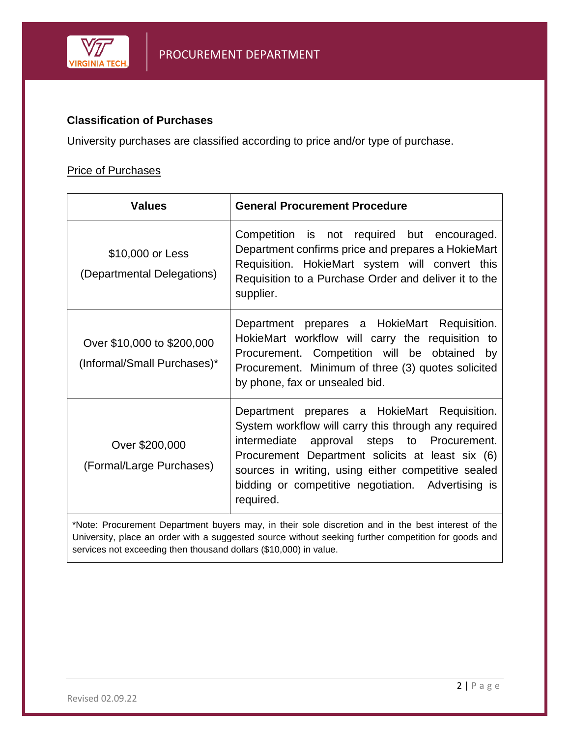

### **Classification of Purchases**

University purchases are classified according to price and/or type of purchase.

### **Price of Purchases**

| <b>Values</b>                                             | <b>General Procurement Procedure</b>                                                                                                                                                                                                                                                                                                 |
|-----------------------------------------------------------|--------------------------------------------------------------------------------------------------------------------------------------------------------------------------------------------------------------------------------------------------------------------------------------------------------------------------------------|
| \$10,000 or Less<br>(Departmental Delegations)            | Competition is not required but encouraged.<br>Department confirms price and prepares a HokieMart<br>Requisition. HokieMart system will convert this<br>Requisition to a Purchase Order and deliver it to the<br>supplier.                                                                                                           |
| Over \$10,000 to \$200,000<br>(Informal/Small Purchases)* | Department prepares a HokieMart Requisition.<br>HokieMart workflow will carry the requisition to<br>Procurement. Competition will be obtained<br>by<br>Procurement. Minimum of three (3) quotes solicited<br>by phone, fax or unsealed bid.                                                                                          |
| Over \$200,000<br>(Formal/Large Purchases)                | Department prepares a HokieMart Requisition.<br>System workflow will carry this through any required<br>intermediate<br>approval steps to Procurement.<br>Procurement Department solicits at least six (6)<br>sources in writing, using either competitive sealed<br>bidding or competitive negotiation. Advertising is<br>required. |

\*Note: Procurement Department buyers may, in their sole discretion and in the best interest of the University, place an order with a suggested source without seeking further competition for goods and services not exceeding then thousand dollars (\$10,000) in value.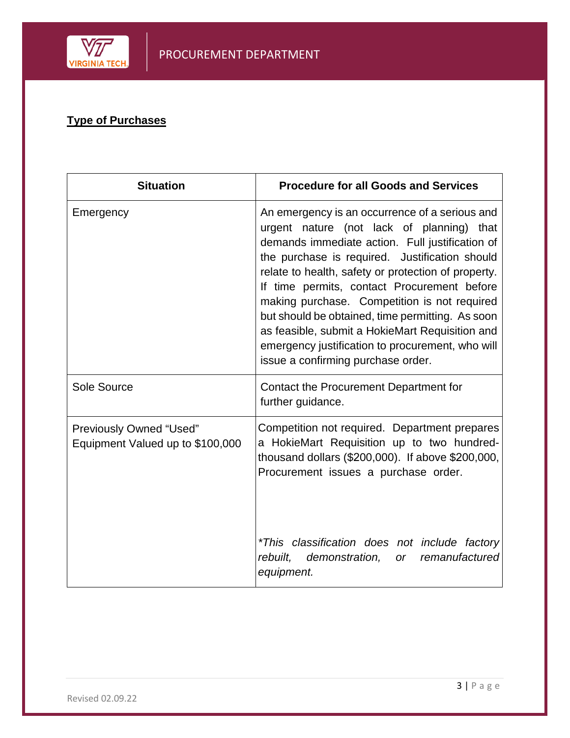

## **Type of Purchases**

| <b>Situation</b>                                                   | <b>Procedure for all Goods and Services</b>                                                                                                                                                                                                                                                                                                                                                                                                                                                                                                             |
|--------------------------------------------------------------------|---------------------------------------------------------------------------------------------------------------------------------------------------------------------------------------------------------------------------------------------------------------------------------------------------------------------------------------------------------------------------------------------------------------------------------------------------------------------------------------------------------------------------------------------------------|
| Emergency                                                          | An emergency is an occurrence of a serious and<br>urgent nature (not lack of planning) that<br>demands immediate action. Full justification of<br>the purchase is required. Justification should<br>relate to health, safety or protection of property.<br>If time permits, contact Procurement before<br>making purchase. Competition is not required<br>but should be obtained, time permitting. As soon<br>as feasible, submit a HokieMart Requisition and<br>emergency justification to procurement, who will<br>issue a confirming purchase order. |
| Sole Source                                                        | Contact the Procurement Department for<br>further guidance.                                                                                                                                                                                                                                                                                                                                                                                                                                                                                             |
| <b>Previously Owned "Used"</b><br>Equipment Valued up to \$100,000 | Competition not required. Department prepares<br>a HokieMart Requisition up to two hundred-<br>thousand dollars (\$200,000). If above \$200,000,<br>Procurement issues a purchase order.                                                                                                                                                                                                                                                                                                                                                                |
|                                                                    | *This classification does not include factory<br>demonstration,<br>rebuilt,<br>or remanufactured<br>equipment.                                                                                                                                                                                                                                                                                                                                                                                                                                          |